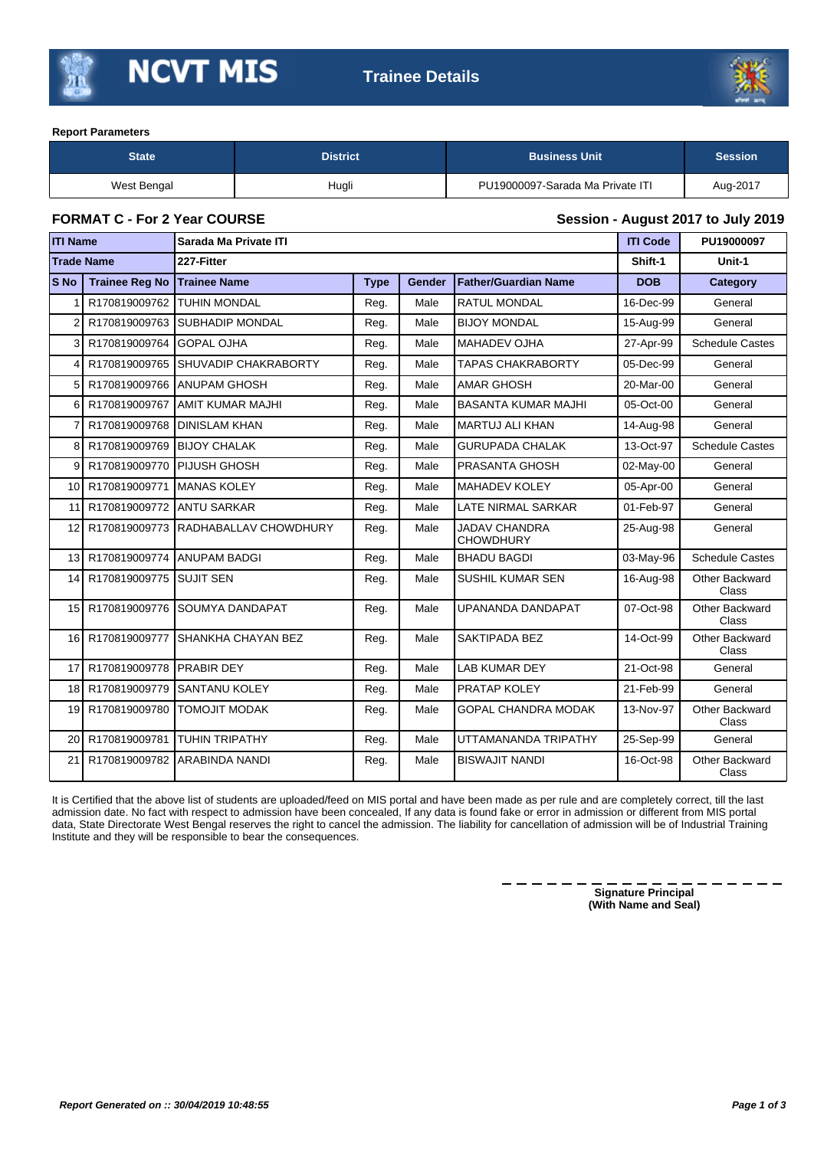



## **Report Parameters**

| <b>District</b><br><b>State</b> |       | <b>Business Unit</b>             | <b>Session</b> |
|---------------------------------|-------|----------------------------------|----------------|
| West Bengal                     | Hugli | PU19000097-Sarada Ma Private ITI | Aug-2017       |

**FORMAT C - For 2 Year COURSE Session - August 2017 to July 2019**

| <b>ITI Name</b>   |                       | Sarada Ma Private ITI        |             |        |                                          | <b>ITI Code</b> | PU19000097                     |
|-------------------|-----------------------|------------------------------|-------------|--------|------------------------------------------|-----------------|--------------------------------|
| <b>Trade Name</b> |                       | 227-Fitter                   |             |        | Shift-1                                  | Unit-1          |                                |
| <b>S</b> No       | <b>Trainee Reg No</b> | <b>Trainee Name</b>          | <b>Type</b> | Gender | <b>Father/Guardian Name</b>              | <b>DOB</b>      | Category                       |
|                   | R170819009762         | <b>TUHIN MONDAL</b>          | Reg.        | Male   | <b>RATUL MONDAL</b>                      | 16-Dec-99       | General                        |
| 2                 | R170819009763         | <b>SUBHADIP MONDAL</b>       | Reg.        | Male   | <b>BIJOY MONDAL</b>                      | 15-Aug-99       | General                        |
| 3                 | R170819009764         | <b>GOPAL OJHA</b>            | Reg.        | Male   | <b>MAHADEV OJHA</b>                      | 27-Apr-99       | <b>Schedule Castes</b>         |
| 4                 | R170819009765         | <b>ISHUVADIP CHAKRABORTY</b> | Reg.        | Male   | <b>TAPAS CHAKRABORTY</b>                 | 05-Dec-99       | General                        |
| 5                 | R170819009766         | <b>ANUPAM GHOSH</b>          | Reg.        | Male   | <b>AMAR GHOSH</b>                        | 20-Mar-00       | General                        |
| 6                 | R170819009767         | <b>AMIT KUMAR MAJHI</b>      | Reg.        | Male   | <b>BASANTA KUMAR MAJHI</b>               | 05-Oct-00       | General                        |
|                   | R170819009768         | <b>DINISLAM KHAN</b>         | Reg.        | Male   | <b>MARTUJ ALI KHAN</b>                   | 14-Aug-98       | General                        |
| 8                 | R170819009769         | <b>BIJOY CHALAK</b>          | Reg.        | Male   | <b>GURUPADA CHALAK</b>                   | 13-Oct-97       | <b>Schedule Castes</b>         |
| 9                 | R170819009770         | <b>PIJUSH GHOSH</b>          | Reg.        | Male   | PRASANTA GHOSH                           | 02-May-00       | General                        |
| 10                | R170819009771         | <b>MANAS KOLEY</b>           | Reg.        | Male   | <b>MAHADEV KOLEY</b>                     | 05-Apr-00       | General                        |
| 11                | R170819009772         | <b>ANTU SARKAR</b>           | Reg.        | Male   | <b>LATE NIRMAL SARKAR</b>                | 01-Feb-97       | General                        |
| 12                | R170819009773         | RADHABALLAV CHOWDHURY        | Reg.        | Male   | <b>JADAV CHANDRA</b><br><b>CHOWDHURY</b> | 25-Aug-98       | General                        |
| 13                | R170819009774         | <b>ANUPAM BADGI</b>          | Reg.        | Male   | <b>BHADU BAGDI</b>                       | 03-May-96       | <b>Schedule Castes</b>         |
| 14                | R170819009775         | <b>SUJIT SEN</b>             | Reg.        | Male   | <b>SUSHIL KUMAR SEN</b>                  | 16-Aug-98       | <b>Other Backward</b><br>Class |
| 15                | R170819009776         | <b>SOUMYA DANDAPAT</b>       | Reg.        | Male   | UPANANDA DANDAPAT                        | 07-Oct-98       | Other Backward<br>Class        |
| 16                | R170819009777         | SHANKHA CHAYAN BEZ           | Reg.        | Male   | SAKTIPADA BEZ                            | 14-Oct-99       | Other Backward<br>Class        |
| 17                | R170819009778         | <b>PRABIR DEY</b>            | Reg.        | Male   | LAB KUMAR DEY                            | 21-Oct-98       | General                        |
| 18                | R170819009779         | <b>SANTANU KOLEY</b>         | Reg.        | Male   | PRATAP KOLEY                             | 21-Feb-99       | General                        |
| 19                | R170819009780         | <b>TOMOJIT MODAK</b>         | Reg.        | Male   | <b>GOPAL CHANDRA MODAK</b>               | 13-Nov-97       | <b>Other Backward</b><br>Class |
| 20                | R170819009781         | <b>TUHIN TRIPATHY</b>        | Reg.        | Male   | UTTAMANANDA TRIPATHY                     | 25-Sep-99       | General                        |
| 21                | R170819009782         | ARABINDA NANDI               | Reg.        | Male   | <b>BISWAJIT NANDI</b>                    | 16-Oct-98       | Other Backward<br>Class        |

It is Certified that the above list of students are uploaded/feed on MIS portal and have been made as per rule and are completely correct, till the last admission date. No fact with respect to admission have been concealed, If any data is found fake or error in admission or different from MIS portal data, State Directorate West Bengal reserves the right to cancel the admission. The liability for cancellation of admission will be of Industrial Training Institute and they will be responsible to bear the consequences.

> **Signature Principal (With Name and Seal)**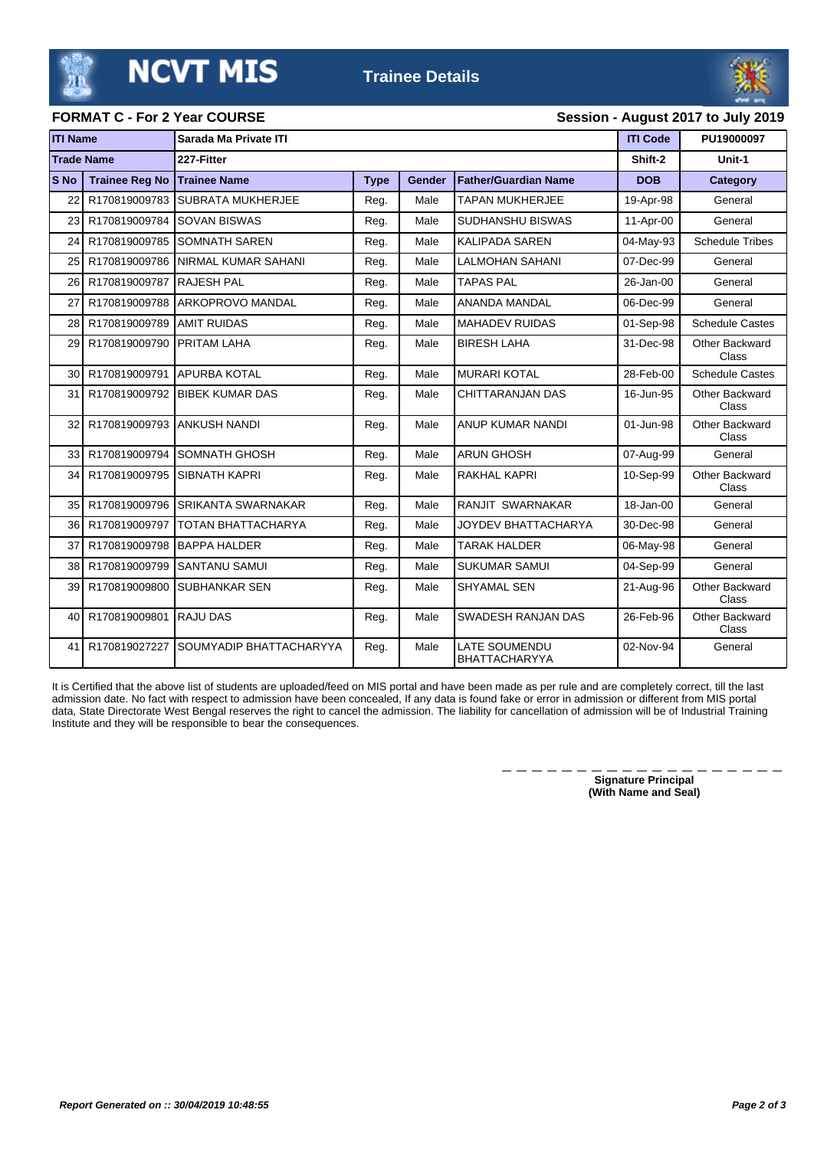**Trainee Details**



**FORMAT C - For 2 Year COURSE Session - August 2017 to July 2019**

## **ITI Name Sarada Ma Private ITI ITI Code PU19000097 Trade Name 227-Fitter Shift-2 Unit-1 S No Trainee Reg No Trainee Name Type Gender Father/Guardian Name DOB Category** 22 R170819009783 SUBRATA MUKHERJEE Reg. Male TAPAN MUKHERJEE 19-Apr-98 General 23 R170819009784 SOVAN BISWAS Reg. | Male SUDHANSHU BISWAS | 11-Apr-00 General 24 R170819009785 SOMNATH SAREN Reg. Reg. Male KALIPADA SAREN 804-May-93 Schedule Tribes 25 R170819009786 NIRMAL KUMAR SAHANI | Reg. | Male LALMOHAN SAHANI | 07-Dec-99 General 26 R170819009787 RAJESH PAL **Reg. | Male TAPAS PAL 26-Jan-00 General** General 27 R170819009788 ARKOPROVO MANDAL Reg. | Male | ANANDA MANDAL | 06-Dec-99 General 28 R170819009789 AMIT RUIDAS | Reg. | Male MAHADEV RUIDAS | 01-Sep-98 Schedule Castes 29 R170819009790 PRITAM LAHA Reg. | Male BIRESH LAHA | 31-Dec-98 Other Backward Class 30 R170819009791 APURBA KOTAL | Reg. | Male |MURARI KOTAL | 28-Feb-00 | Schedule Castes 31 R170819009792 BIBEK KUMAR DAS Reg. | Male CHITTARANJAN DAS 16-Jun-95 Other Backward Class 32 R170819009793 ANKUSH NANDI Reg. | Male ANUP KUMAR NANDI 01-Jun-98 Other Backward Class 33 R170819009794 SOMNATH GHOSH Reg. | Male | ARUN GHOSH | 07-Aug-99 | General 34 R170819009795 SIBNATH KAPRI Reg. Male RAKHAL KAPRI 10-Sep-99 Other Backward Class 35 R170819009796 SRIKANTA SWARNAKAR Reg. | Male RANJIT SWARNAKAR | 18-Jan-00 General 36 R170819009797 TOTAN BHATTACHARYA Reg. Male JOYDEV BHATTACHARYA 30-Dec-98 General 37 R170819009798 BAPPA HALDER Reg. Male TARAK HALDER 06-May-98 General 38 R170819009799 SANTANU SAMUI Reg. Male SUKUMAR SAMUI 04-Sep-99 General 39 R170819009800 SUBHANKAR SEN Reg. | Male SHYAMAL SEN 21-Aug-96 Other Backward Class 40 R170819009801 RAJU DAS Reg. | Male SWADESH RANJAN DAS 26-Feb-96 Other Backward Class 41 R170819027227 SOUMYADIP BHATTACHARYYA Reg. Male LATE SOUMENDU BHATTACHARYYA 02-Nov-94 General

It is Certified that the above list of students are uploaded/feed on MIS portal and have been made as per rule and are completely correct, till the last admission date. No fact with respect to admission have been concealed, If any data is found fake or error in admission or different from MIS portal data, State Directorate West Bengal reserves the right to cancel the admission. The liability for cancellation of admission will be of Industrial Training Institute and they will be responsible to bear the consequences.

> **Signature Principal (With Name and Seal)**